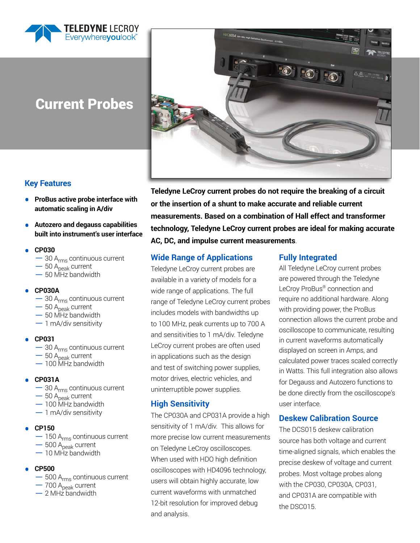

# Current Probes



**Key Features**

- **ProBus active probe interface with automatic scaling in A/div**
- **Autozero and degauss capabilities built into instrument's user interface**
- **CP030**
	- $-$  30 A<sub>rms</sub> continuous current
	- $-50$  A<sub>peak</sub> current
	- $-50$  MHz bandwidth

#### **• CP030A**

- $-$  30 A<sub>rms</sub> continuous current
- $-50$  A<sub>peak</sub> current
- $-50$  MHz bandwidth
- $-1$  mA/div sensitivity
- **CP031**
	- $-$  30 A<sub>rms</sub> continuous current
	- $-50$  A $_{peak}$  current
	- –100 MHz bandwidth
- **CP031A**
	- $-$  30 A<sub>rms</sub> continuous current
	- $-50$  A<sub>peak</sub> current
	- –100 MHz bandwidth
	- –1 mA/div sensitivity

#### **• CP150**

- $-150$  A<sub>rms</sub> continuous current
- 500 A<sub>peak</sub> current
- $-10$  MHz bandwidth
- **CP500**
	- 500 A<sub>rms</sub> continuous current
	- 700 A<sub>peak</sub> current
	- $-2$  MHz bandwidth

**Teledyne LeCroy current probes do not require the breaking of a circuit or the insertion of a shunt to make accurate and reliable current measurements. Based on a combination of Hall effect and transformer technology, Teledyne LeCroy current probes are ideal for making accurate AC, DC, and impulse current measurements**.

# **Wide Range of Applications**

Teledyne LeCroy current probes are available in a variety of models for a wide range of applications. The full range of Teledyne LeCroy current probes includes models with bandwidths up to 100 MHz, peak currents up to 700 A and sensitivities to 1 mA/div. Teledyne LeCroy current probes are often used in applications such as the design and test of switching power supplies, motor drives, electric vehicles, and uninterruptible power supplies.

# **High Sensitivity**

The CP030A and CP031A provide a high sensitivity of 1 mA/div. This allows for more precise low current measurements on Teledyne LeCroy oscilloscopes. When used with HDO high definition oscilloscopes with HD4096 technology, users will obtain highly accurate, low current waveforms with unmatched 12-bit resolution for improved debug and analysis.

# **Fully Integrated**

All Teledyne LeCroy current probes are powered through the Teledyne LeCroy ProBus® connection and require no additional hardware. Along with providing power, the ProBus connection allows the current probe and oscilloscope to communicate, resulting in current waveforms automatically displayed on screen in Amps, and calculated power traces scaled correctly in Watts. This full integration also allows for Degauss and Autozero functions to be done directly from the oscilloscope's user interface.

# **Deskew Calibration Source**

The DCS015 deskew calibration source has both voltage and current time-aligned signals, which enables the precise deskew of voltage and current probes. Most voltage probes along with the CP030, CP030A, CP031, and CP031A are compatible with the DSC015.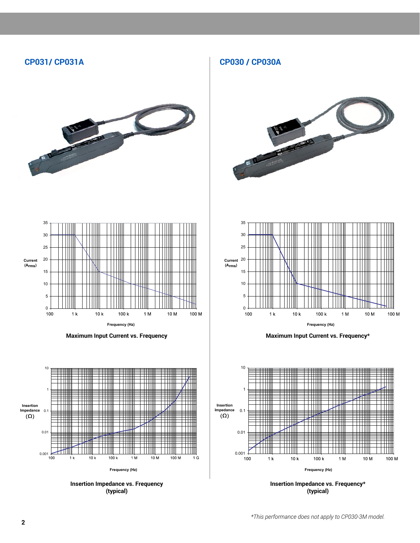# **CP031/ CP031A CP030 / CP030A**





**Frequency (Hz) Frequency (Hz) Maximum Input Current vs. Frequency**



**Insertion Impedance vs. Frequency (typical)**





**Maximum Input Current vs. Frequency\*** 



**Insertion Impedance vs. Frequency\* (typical)**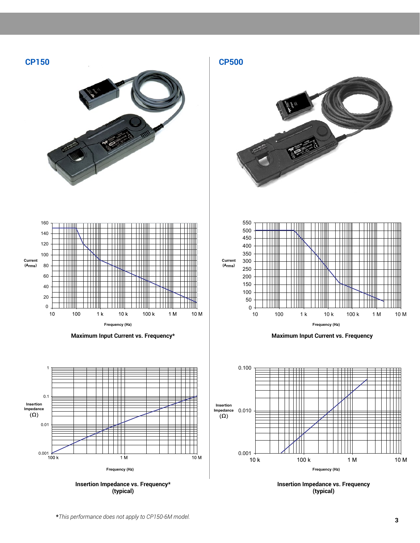